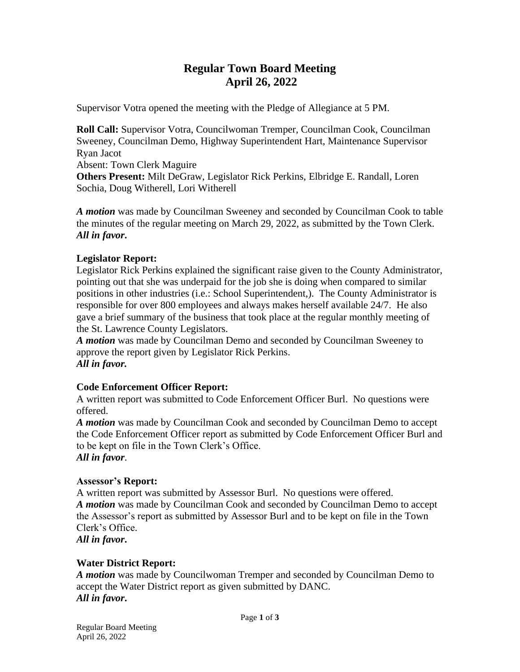# **Regular Town Board Meeting April 26, 2022**

Supervisor Votra opened the meeting with the Pledge of Allegiance at 5 PM.

**Roll Call:** Supervisor Votra, Councilwoman Tremper, Councilman Cook, Councilman Sweeney, Councilman Demo, Highway Superintendent Hart, Maintenance Supervisor Ryan Jacot

Absent: Town Clerk Maguire

**Others Present:** Milt DeGraw, Legislator Rick Perkins, Elbridge E. Randall, Loren Sochia, Doug Witherell, Lori Witherell

*A motion* was made by Councilman Sweeney and seconded by Councilman Cook to table the minutes of the regular meeting on March 29, 2022, as submitted by the Town Clerk. *All in favor***.**

# **Legislator Report:**

Legislator Rick Perkins explained the significant raise given to the County Administrator, pointing out that she was underpaid for the job she is doing when compared to similar positions in other industries (i.e.: School Superintendent,). The County Administrator is responsible for over 800 employees and always makes herself available 24/7. He also gave a brief summary of the business that took place at the regular monthly meeting of the St. Lawrence County Legislators.

*A motion* was made by Councilman Demo and seconded by Councilman Sweeney to approve the report given by Legislator Rick Perkins. *All in favor.*

# **Code Enforcement Officer Report:**

A written report was submitted to Code Enforcement Officer Burl. No questions were offered.

*A motion* was made by Councilman Cook and seconded by Councilman Demo to accept the Code Enforcement Officer report as submitted by Code Enforcement Officer Burl and to be kept on file in the Town Clerk's Office. *All in favor*.

# **Assessor's Report:**

A written report was submitted by Assessor Burl. No questions were offered. *A motion* was made by Councilman Cook and seconded by Councilman Demo to accept the Assessor's report as submitted by Assessor Burl and to be kept on file in the Town Clerk's Office.

*All in favor***.**

# **Water District Report:**

*A motion* was made by Councilwoman Tremper and seconded by Councilman Demo to accept the Water District report as given submitted by DANC. *All in favor***.**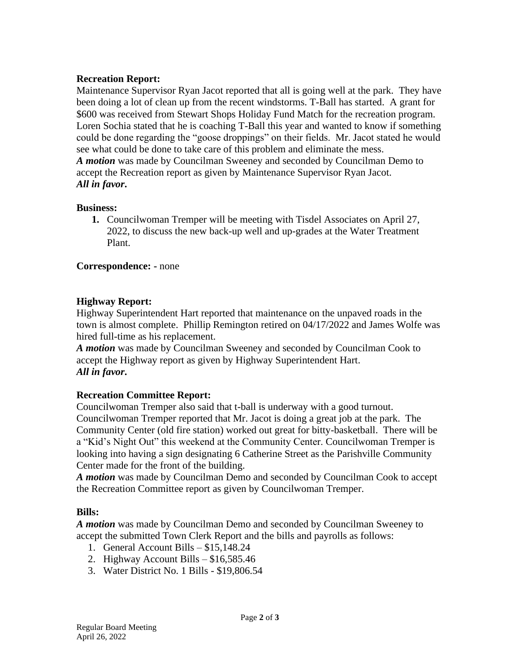# **Recreation Report:**

Maintenance Supervisor Ryan Jacot reported that all is going well at the park. They have been doing a lot of clean up from the recent windstorms. T-Ball has started. A grant for \$600 was received from Stewart Shops Holiday Fund Match for the recreation program. Loren Sochia stated that he is coaching T-Ball this year and wanted to know if something could be done regarding the "goose droppings" on their fields. Mr. Jacot stated he would see what could be done to take care of this problem and eliminate the mess. *A motion* was made by Councilman Sweeney and seconded by Councilman Demo to accept the Recreation report as given by Maintenance Supervisor Ryan Jacot. *All in favor***.**

#### **Business:**

**1.** Councilwoman Tremper will be meeting with Tisdel Associates on April 27, 2022, to discuss the new back-up well and up-grades at the Water Treatment Plant.

#### **Correspondence: -** none

#### **Highway Report:**

Highway Superintendent Hart reported that maintenance on the unpaved roads in the town is almost complete. Phillip Remington retired on 04/17/2022 and James Wolfe was hired full-time as his replacement.

*A motion* was made by Councilman Sweeney and seconded by Councilman Cook to accept the Highway report as given by Highway Superintendent Hart. *All in favor***.**

# **Recreation Committee Report:**

Councilwoman Tremper also said that t-ball is underway with a good turnout. Councilwoman Tremper reported that Mr. Jacot is doing a great job at the park. The Community Center (old fire station) worked out great for bitty-basketball. There will be a "Kid's Night Out" this weekend at the Community Center. Councilwoman Tremper is looking into having a sign designating 6 Catherine Street as the Parishville Community Center made for the front of the building.

*A motion* was made by Councilman Demo and seconded by Councilman Cook to accept the Recreation Committee report as given by Councilwoman Tremper.

# **Bills:**

*A motion* was made by Councilman Demo and seconded by Councilman Sweeney to accept the submitted Town Clerk Report and the bills and payrolls as follows:

- 1. General Account Bills \$15,148.24
- 2. Highway Account Bills \$16,585.46
- 3. Water District No. 1 Bills \$19,806.54